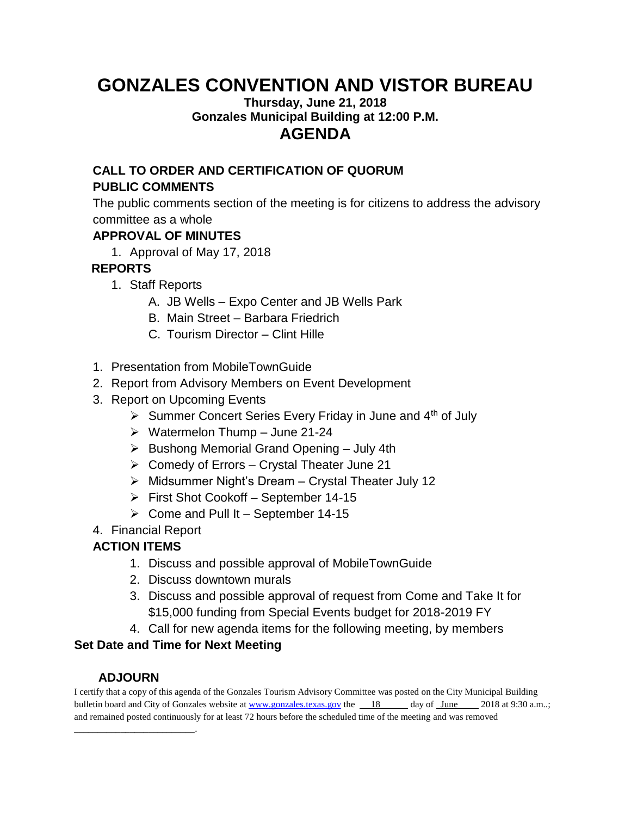# **GONZALES CONVENTION AND VISTOR BUREAU**

#### **Thursday, June 21, 2018 Gonzales Municipal Building at 12:00 P.M. AGENDA**

#### **CALL TO ORDER AND CERTIFICATION OF QUORUM**

#### **PUBLIC COMMENTS**

The public comments section of the meeting is for citizens to address the advisory committee as a whole

#### **APPROVAL OF MINUTES**

1. Approval of May 17, 2018

## **REPORTS**

- 1. Staff Reports
	- A. JB Wells Expo Center and JB Wells Park
	- B. Main Street Barbara Friedrich
	- C. Tourism Director Clint Hille
- 1. Presentation from MobileTownGuide
- 2. Report from Advisory Members on Event Development
- 3. Report on Upcoming Events
	- $\triangleright$  Summer Concert Series Every Friday in June and 4<sup>th</sup> of July
	- $\triangleright$  Watermelon Thump June 21-24
	- $\triangleright$  Bushong Memorial Grand Opening July 4th
	- ➢ Comedy of Errors Crystal Theater June 21
	- ➢ Midsummer Night's Dream Crystal Theater July 12
	- ➢ First Shot Cookoff September 14-15
	- $\triangleright$  Come and Pull It September 14-15
- 4. Financial Report

## **ACTION ITEMS**

- 1. Discuss and possible approval of MobileTownGuide
- 2. Discuss downtown murals
- 3. Discuss and possible approval of request from Come and Take It for \$15,000 funding from Special Events budget for 2018-2019 FY
- 4. Call for new agenda items for the following meeting, by members

#### **Set Date and Time for Next Meeting**

## **ADJOURN**

\_\_\_\_\_\_\_\_\_\_\_\_\_\_\_\_\_\_\_\_\_\_\_\_\_\_.

I certify that a copy of this agenda of the Gonzales Tourism Advisory Committee was posted on the City Municipal Building bulletin board and City of Gonzales website at [www.gonzales.texas.gov](http://www.gonzales.texas.gov/) the 18 day of June 2018 at 9:30 a.m..; and remained posted continuously for at least 72 hours before the scheduled time of the meeting and was removed